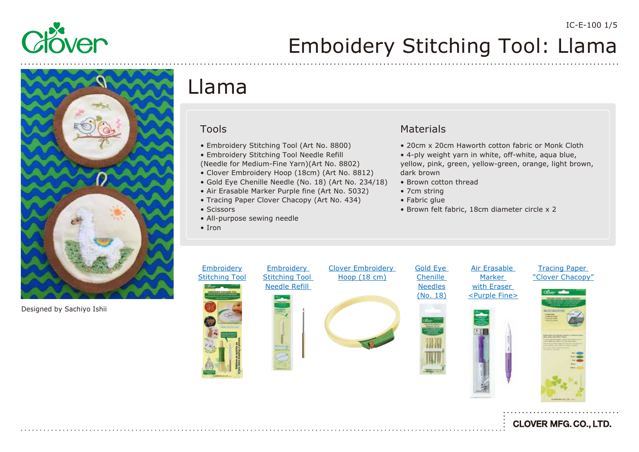

# Emboidery Stitching Tool: Llama



Designed by Sachiyo Ishii

# Llama

#### Tools

- Embroidery Stitching Tool (Art No. 8800)
- Embroidery Stitching Tool Needle Refill
- (Needle for Medium-Fine Yarn)(Art No. 8802)
- Clover Embroidery Hoop (18cm) (Art No. 8812)
- Gold Eye Chenille Needle (No. 18) (Art No. 234/18)
- Air Erasable Marker Purple fine (Art No. 5032)
- Tracing Paper Clover Chacopy (Art No. 434)
- Scissors
- All-purpose sewing needle
- Iron

#### **Materials**

- 20cm x 20cm Haworth cotton fabric or Monk Cloth
- 4-ply weight yarn in white, off-white, aqua blue, yellow, pink, green, yellow-green, orange, light brown, dark brown
- Brown cotton thread
- 7cm string
- Fabric glue
- Brown felt fabric, 18cm diameter circle x 2



[Clover Embroidery](https://www.clover-mfg.com/product/12/114)  Hoop (18 cm)

[Gold Eye](https://www.clover-mfg.com/product/6/245)  **Chenille** Needles (No. 18)







**CLOVER MFG. CO., LTD.**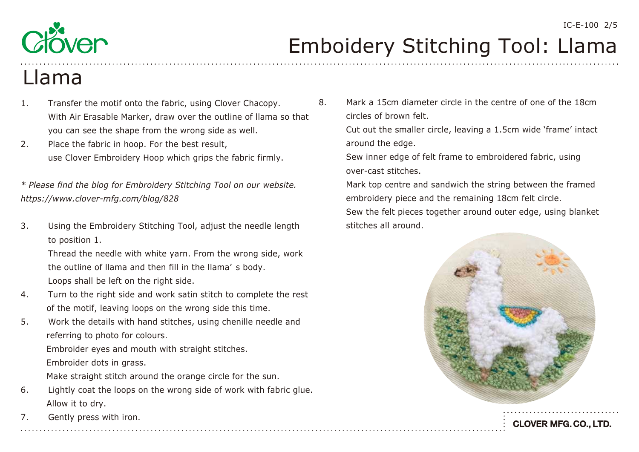

## Llama

- 1. Transfer the motif onto the fabric, using Clover Chacopy. With Air Erasable Marker, draw over the outline of llama so that you can see the shape from the wrong side as well.
- 2. Place the fabric in hoop. For the best result, use Clover Embroidery Hoop which grips the fabric firmly.

*\* Please find the blog for Embroidery Stitching Tool on our website. <https://www.clover-mfg.com/blog/828>*

3. Using the Embroidery Stitching Tool, adjust the needle length to position 1.

 Thread the needle with white yarn. From the wrong side, work the outline of llama and then fill in the llama' s body. Loops shall be left on the right side.

- 4. Turn to the right side and work satin stitch to complete the rest of the motif, leaving loops on the wrong side this time.
- 5. Work the details with hand stitches, using chenille needle and referring to photo for colours.

 Embroider eyes and mouth with straight stitches. Embroider dots in grass.

Make straight stitch around the orange circle for the sun.

- 6. Lightly coat the loops on the wrong side of work with fabric glue. Allow it to dry.
- 7. Gently press with iron.

8. Mark a 15cm diameter circle in the centre of one of the 18cm circles of brown felt.

 Cut out the smaller circle, leaving a 1.5cm wide 'frame' intact around the edge.

 Sew inner edge of felt frame to embroidered fabric, using over-cast stitches.

 Mark top centre and sandwich the string between the framed embroidery piece and the remaining 18cm felt circle.

 Sew the felt pieces together around outer edge, using blanket stitches all around.

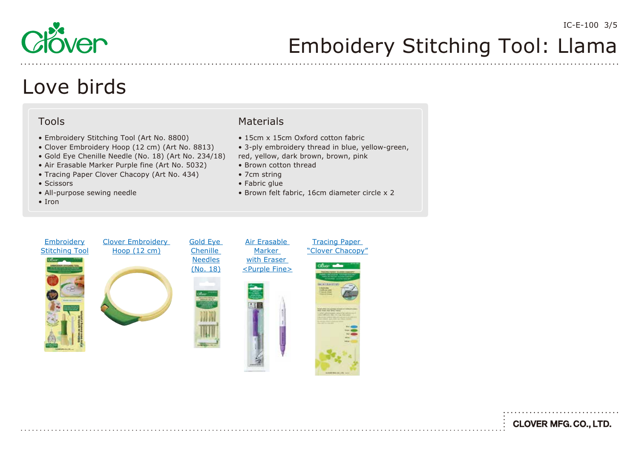

## Love birds

#### Tools

- Embroidery Stitching Tool (Art No. 8800)
- Clover Embroidery Hoop (12 cm) (Art No. 8813)
- Gold Eye Chenille Needle (No. 18) (Art No. 234/18)
- Air Erasable Marker Purple fine (Art No. 5032)
- Tracing Paper Clover Chacopy (Art No. 434)
- Scissors
- All-purpose sewing needle
- Iron

#### Materials

- 15cm x 15cm Oxford cotton fabric
- 3-ply embroidery thread in blue, yellow-green,
- red, yellow, dark brown, brown, pink
- Brown cotton thread
- 7cm string
- Fabric glue
- Brown felt fabric, 16cm diameter circle x 2



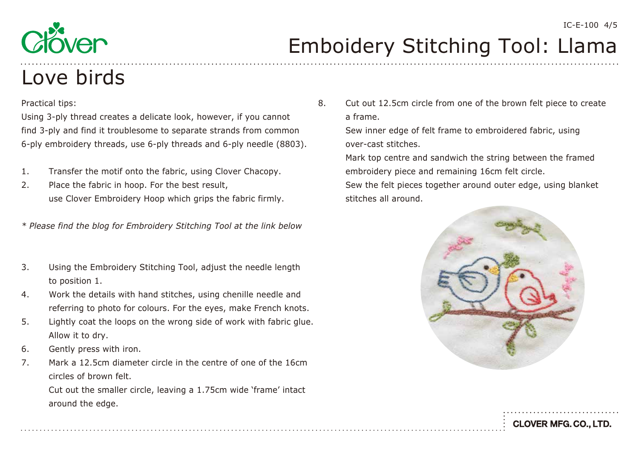

# Love birds

#### Practical tips:

Using 3-ply thread creates a delicate look, however, if you cannot find 3-ply and find it troublesome to separate strands from common 6-ply embroidery threads, use 6-ply threads and 6-ply needle (8803).

- 1. Transfer the motif onto the fabric, using Clover Chacopy.
- 2. Place the fabric in hoop. For the best result, use Clover Embroidery Hoop which grips the fabric firmly.

*\* Please find the blog for Embroidery Stitching Tool at the link below*

- 3. Using the Embroidery Stitching Tool, adjust the needle length to position 1.
- 4. Work the details with hand stitches, using chenille needle and referring to photo for colours. For the eyes, make French knots.
- 5. Lightly coat the loops on the wrong side of work with fabric glue. Allow it to dry.
- 6. Gently press with iron.
- 7. Mark a 12.5cm diameter circle in the centre of one of the 16cm circles of brown felt.

 Cut out the smaller circle, leaving a 1.75cm wide 'frame' intact around the edge.

8. Cut out 12.5cm circle from one of the brown felt piece to create a frame.

 Sew inner edge of felt frame to embroidered fabric, using over-cast stitches.

 Mark top centre and sandwich the string between the framed embroidery piece and remaining 16cm felt circle.

 Sew the felt pieces together around outer edge, using blanket stitches all around.